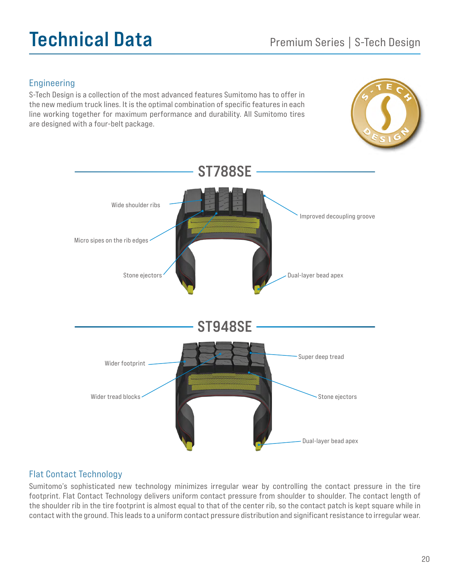# Technical Data Premium Series | S-Tech Design

### Engineering

S-Tech Design is a collection of the most advanced features Sumitomo has to offer in the new medium truck lines. It is the optimal combination of specific features in each line working together for maximum performance and durability. All Sumitomo tires are designed with a four-belt package.





#### Flat Contact Technology

Sumitomo's sophisticated new technology minimizes irregular wear by controlling the contact pressure in the tire footprint. Flat Contact Technology delivers uniform contact pressure from shoulder to shoulder. The contact length of the shoulder rib in the tire footprint is almost equal to that of the center rib, so the contact patch is kept square while in contact with the ground. This leads to a uniform contact pressure distribution and significant resistance to irregular wear.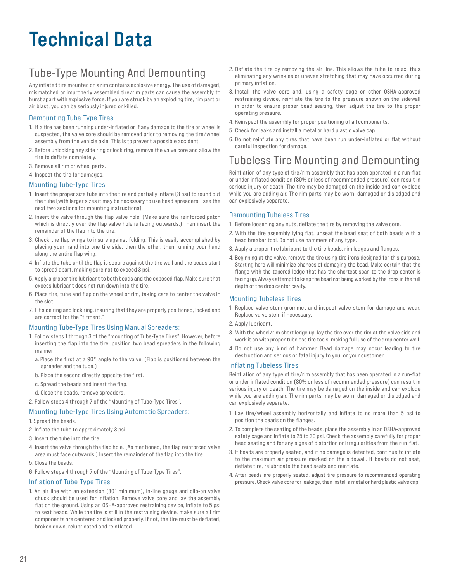## Technical Data

## Tube-Type Mounting And Demounting

Any inflated tire mounted on a rim contains explosive energy. The use of damaged, mismatched or improperly assembled tire/rim parts can cause the assembly to burst apart with explosive force. If you are struck by an exploding tire, rim part or air blast, you can be seriously injured or killed.

#### Demounting Tube-Type Tires

- 1. If a tire has been running under-inflated or if any damage to the tire or wheel is suspected, the valve core should be removed prior to removing the tire/wheel assembly from the vehicle axle. This is to prevent a possible accident.
- 2. Before unlocking any side ring or lock ring, remove the valve core and allow the tire to deflate completely.
- 3. Remove all rim or wheel parts.
- 4. Inspect the tire for damages.

#### Mounting Tube-Type Tires

- 1 Insert the proper size tube into the tire and partially inflate (3 psi) to round out the tube (with larger sizes it may be necessary to use bead spreaders – see the next two sections for mounting instructions).
- 2. Insert the valve through the flap valve hole. (Make sure the reinforced patch which is directly over the flap valve hole is facing outwards.) Then insert the remainder of the flap into the tire.
- 3. Check the flap wings to insure against folding. This is easily accomplished by placing your hand into one tire side, then the other, then running your hand along the entire flap wing.
- 4. Inflate the tube until the flap is secure against the tire wall and the beads start to spread apart, making sure not to exceed 3 psi.
- 5. Apply a proper tire lubricant to both beads and the exposed flap. Make sure that excess lubricant does not run down into the tire.
- 6. Place tire, tube and flap on the wheel or rim, taking care to center the valve in the slot.
- 7. Fit side ring and lock ring, insuring that they are properly positioned, locked and are correct for the "fitment."

#### Mounting Tube-Type Tires Using Manual Spreaders:

- 1. Follow steps 1 through 3 of the "mounting of Tube-Type Tires". However, before inserting the flap into the tire, position two bead spreaders in the following manner:
	- a. Place the first at a 90° angle to the valve. (Flap is positioned between the spreader and the tube.)
	- b. Place the second directly opposite the first.
	- c. Spread the beads and insert the flap.
	- d. Close the beads, remove spreaders.
- 2. Follow steps 4 through 7 of the "Mounting of Tube-Type Tires".

#### Mounting Tube-Type Tires Using Automatic Spreaders:

- 1. Spread the beads.
- 2. Inflate the tube to approximately 3 psi.
- 3. Insert the tube into the tire.
- 4. Insert the valve through the flap hole. (As mentioned, the flap reinforced valve area must face outwards.) Insert the remainder of the flap into the tire.
- 5. Close the beads.
- 6. Follow steps 4 through 7 of the "Mounting of Tube-Type Tires".

#### Inflation of Tube-Type Tires

1. An air line with an extension (30" minimum), in-line gauge and clip-on valve chuck should be used for inflation. Remove valve core and lay the assembly flat on the ground. Using an OSHA-approved restraining device, inflate to 5 psi to seat beads. While the tire is still in the restraining device, make sure all rim components are centered and locked properly. If not, the tire must be deflated, broken down, relubricated and reinflated.

- 2. Deflate the tire by removing the air line. This allows the tube to relax, thus eliminating any wrinkles or uneven stretching that may have occurred during primary inflation.
- 3. Install the valve core and, using a safety cage or other OSHA-approved restraining device, reinflate the tire to the pressure shown on the sidewall in order to ensure proper bead seating, then adjust the tire to the proper operating pressure.
- 4. Reinspect the assembly for proper positioning of all components.
- 5. Check for leaks and install a metal or hard plastic valve cap.
- 6. Do not reinflate any tires that have been run under-inflated or flat without careful inspection for damage.

### Tubeless Tire Mounting and Demounting

Reinflation of any type of tire/rim assembly that has been operated in a run-flat or under inflated condition (80% or less of recommended pressure) can result in serious injury or death. The tire may be damaged on the inside and can explode while you are adding air. The rim parts may be worn, damaged or dislodged and can explosively separate.

#### Demounting Tubeless Tires

- 1. Before loosening any nuts, deflate the tire by removing the valve core.
- 2. With the tire assembly lying flat, unseat the bead seat of both beads with a bead breaker tool. Do not use hammers of any type.
- 3. Apply a proper tire lubricant to the tire beads, rim ledges and flanges.
- 4. Beginning at the valve, remove the tire using tire irons designed for this purpose. Starting here will minimize chances of damaging the bead. Make certain that the flange with the tapered ledge that has the shortest span to the drop center is facing up. Always attempt to keep the bead not being worked by the irons in the full depth of the drop center cavity.

#### Mounting Tubeless Tires

- 1. Replace valve stem grommet and inspect valve stem for damage and wear. Replace valve stem if necessary.
- 2. Apply lubricant.
- 3. With the wheel/rim short ledge up, lay the tire over the rim at the valve side and work it on with proper tubeless tire tools, making full use of the drop center well.
- 4. Do not use any kind of hammer. Bead damage may occur leading to tire destruction and serious or fatal injury to you, or your customer.

#### Inflating Tubeless Tires

Reinflation of any type of tire/rim assembly that has been operated in a run-flat or under inflated condition (80% or less of recommended pressure) can result in serious injury or death. The tire may be damaged on the inside and can explode while you are adding air. The rim parts may be worn, damaged or dislodged and can explosively separate.

- 1. Lay tire/wheel assembly horizontally and inflate to no more than 5 psi to position the beads on the flanges.
- 2. To complete the seating of the beads, place the assembly in an OSHA-approved safety cage and inflate to 25 to 30 psi. Check the assembly carefully for proper bead seating and for any signs of distortion or irregularities from the run-flat.
- 3. If beads are properly seated, and if no damage is detected, continue to inflate to the maximum air pressure marked on the sidewall. If beads do not seat, deflate tire, relubricate the bead seats and reinflate.
- 4. After beads are properly seated, adjust tire pressure to recommended operating pressure. Check valve core for leakage, then install a metal or hard plastic valve cap.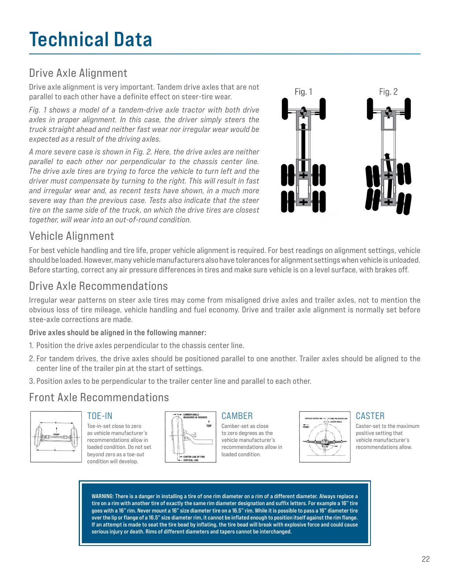## Technical Data

## Drive Axle Alignment

Drive axle alignment is very important. Tandem drive axles that are not parallel to each other have a definite effect on steer-tire wear.

*Fig. 1 shows a model of a tandem-drive axle tractor with both drive axles in proper alignment. In this case, the driver simply steers the truck straight ahead and neither fast wear nor irregular wear would be expected as a result of the driving axles.*

*A more severe case is shown in Fig. 2. Here, the drive axles are neither parallel to each other nor perpendicular to the chassis center line. The drive axle tires are trying to force the vehicle to turn left and the driver must compensate by turning to the right. This will result in fast and irregular wear and, as recent tests have shown, in a much more severe way than the previous case. Tests also indicate that the steer tire on the same side of the truck, on which the drive tires are closest together, will wear into an out-of-round condition.*



### Vehicle Alignment

For best vehicle handling and tire life, proper vehicle alignment is required. For best readings on alignment settings, vehicle should be loaded. However, many vehicle manufacturers also have tolerances for alignment settings when vehicle is unloaded. Before starting, correct any air pressure differences in tires and make sure vehicle is on a level surface, with brakes off.

### Drive Axle Recommendations

Irregular wear patterns on steer axle tires may come from misaligned drive axles and trailer axles, not to mention the obvious loss of tire mileage, vehicle handling and fuel economy. Drive and trailer axle alignment is normally set before stee-axle corrections are made.

#### Drive axles should be aligned in the following manner:

- 1. Position the drive axles perpendicular to the chassis center line.
- 2. For tandem drives, the drive axles should be positioned parallel to one another. Trailer axles should be aligned to the center line of the trailer pin at the start of settings.
- 3. Position axles to be perpendicular to the trailer center line and parallel to each other.

### Front Axle Recommendations



#### TOE-IN

Toe-in-set close to zero as vehicle manufacturer's recommendations allow in loaded condition. Do not set beyond zero as a toe-out condition will develop.



#### CAMBER

Camber-set as close to zero degrees as the vehicle manufacturer's recommendations allow in loaded condition.



#### CASTER

Caster-set to the maximum positive setting that vehicle manufacturer's recommendations allow.

WARNING: There is a danger in installing a tire of one rim diameter on a rim of a different diameter. Always replace a tire on a rim with another tire of exactly the same rim diameter designation and suffix letters. For example a 16" tire goes with a 16" rim. Never mount a 16" size diameter tire on a 16.5" rim. While it is possible to pass a 16" diameter tire over the lip or flange of a 16.5" size diameter rim, it cannot be inflated enough to position itself against the rim flange. If an attempt is made to seat the tire bead by inflating, the tire bead will break with explosive force and could cause serious injury or death. Rims of different diameters and tapers cannot be interchanged.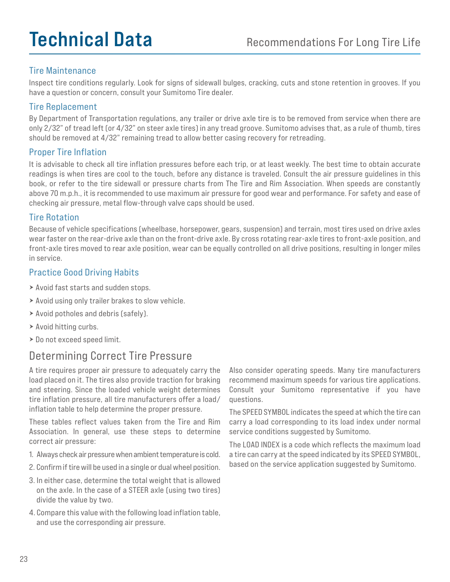## **Technical Data** Recommendations For Long Tire Life

#### Tire Maintenance

Inspect tire conditions regularly. Look for signs of sidewall bulges, cracking, cuts and stone retention in grooves. If you have a question or concern, consult your Sumitomo Tire dealer.

#### Tire Replacement

By Department of Transportation regulations, any trailer or drive axle tire is to be removed from service when there are only 2/32" of tread left (or 4/32" on steer axle tires) in any tread groove. Sumitomo advises that, as a rule of thumb, tires should be removed at 4/32" remaining tread to allow better casing recovery for retreading.

#### Proper Tire Inflation

It is advisable to check all tire inflation pressures before each trip, or at least weekly. The best time to obtain accurate readings is when tires are cool to the touch, before any distance is traveled. Consult the air pressure guidelines in this book, or refer to the tire sidewall or pressure charts from The Tire and Rim Association. When speeds are constantly above 70 m.p.h., it is recommended to use maximum air pressure for good wear and performance. For safety and ease of checking air pressure, metal flow-through valve caps should be used.

#### Tire Rotation

Because of vehicle specifications (wheelbase, horsepower, gears, suspension) and terrain, most tires used on drive axles wear faster on the rear-drive axle than on the front-drive axle. By cross rotating rear-axle tires to front-axle position, and front-axle tires moved to rear axle position, wear can be equally controlled on all drive positions, resulting in longer miles in service.

#### Practice Good Driving Habits

- Avoid fast starts and sudden stops.
- $\triangleright$  Avoid using only trailer brakes to slow vehicle.
- $\triangleright$  Avoid potholes and debris (safely).
- $\triangleright$  Avoid hitting curbs.
- > Do not exceed speed limit.

### Determining Correct Tire Pressure

A tire requires proper air pressure to adequately carry the load placed on it. The tires also provide traction for braking and steering. Since the loaded vehicle weight determines tire inflation pressure, all tire manufacturers offer a load/ inflation table to help determine the proper pressure.

These tables reflect values taken from the Tire and Rim Association. In general, use these steps to determine correct air pressure:

- 1. Always check air pressure when ambient temperature is cold.
- 2. Confirm if tire will be used in a single or dual wheel position.
- 3. In either case, determine the total weight that is allowed on the axle. In the case of a STEER axle (using two tires) divide the value by two.
- 4. Compare this value with the following load inflation table, and use the corresponding air pressure.

Also consider operating speeds. Many tire manufacturers recommend maximum speeds for various tire applications. Consult your Sumitomo representative if you have questions.

The SPEED SYMBOL indicates the speed at which the tire can carry a load corresponding to its load index under normal service conditions suggested by Sumitomo.

The LOAD INDEX is a code which reflects the maximum load a tire can carry at the speed indicated by its SPEED SYMBOL, based on the service application suggested by Sumitomo.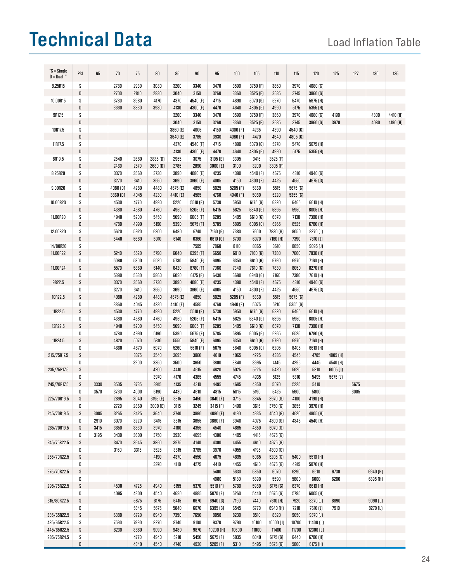## Technical Data Load Inflation Table

| "S = Single<br>$D = Dual$ | PSI                       | 65   | 70                  | 75   | 80                  | 85       | 90       | 95                  | 100                 | 105                 | 110                 | 115                 | 120                 | 125          | 127  | 130      | 135      |
|---------------------------|---------------------------|------|---------------------|------|---------------------|----------|----------|---------------------|---------------------|---------------------|---------------------|---------------------|---------------------|--------------|------|----------|----------|
|                           |                           |      | 2780                | 2930 | 3080                | 3200     | 3340     | 3470                | 3590                | 3750 (F)            | 3860                | 3970                |                     |              |      |          |          |
| 8.25R15                   | S                         |      |                     |      |                     |          |          |                     |                     |                     |                     |                     | 4080 <sub>(G)</sub> |              |      |          |          |
|                           | D                         |      | 2700                | 2810 | 2930                | 3040     | 3150     | 3260                | 3360                | 3525 (F)            | 3635                | 3745                | 3860 <sub>[G]</sub> |              |      |          |          |
| 10.00R15                  | S                         |      | 3780                | 3980 | 4170                | 4370     | 4540 (F) | 4715                | 4890                | 5070(6)             | 5270                | 5470                | 5675 (H)            |              |      |          |          |
|                           | D                         |      | 3660                | 3830 | 3980                | 4130     | 4300 (F) | 4470                | 4640                | 4805 <sub>(G)</sub> | 4990                | 5175                | 5355 (H)            |              |      |          |          |
| 9R17.5                    | S                         |      |                     |      |                     | 3200     | 3340     | 3470                | 3590                | 3750 (F)            | 3860                | 3970                | 4080 (G)            | 4190         |      | 4300     | 4410 (H) |
|                           | D                         |      |                     |      |                     | 3040     | 3150     | 3260                | 3360                | 3525 (F)            | 3635                | 3745                | 3860(6)             | 3970         |      | 4080     | 4190 (H) |
| 10R17.5                   | S                         |      |                     |      |                     | 3860 (E) | 4005     | 4150                | 4300 (F)            | 4235                | 4390                | 4540 (G)            |                     |              |      |          |          |
|                           | D                         |      |                     |      |                     | 3640 (E) | 3785     | 3930                | 4080 (F)            | 4470                | 4640                | 4805 <sub>(G)</sub> |                     |              |      |          |          |
| 11R17.5                   | S                         |      |                     |      |                     | 4370     | 4540 (F) | 4715                | 4890                | 5070(6)             | 5270                | 5470                | 5675 (H)            |              |      |          |          |
|                           | D                         |      |                     |      |                     | 4130     | 4300 (F) | 4470                | 4640                | 4805 <sub>(G)</sub> | 4990                | 5175                | 5355 (H)            |              |      |          |          |
| 8R19.5                    | S                         |      | 2540                | 2680 | 2835 <sub>(D)</sub> | 2955     | 3075     | 3195 (E)            | 3305                | 3415                | 3525 (F)            |                     |                     |              |      |          |          |
|                           | D                         |      | 2460                | 2570 | 2680 <sub>[D]</sub> | 2785     | 2890     | 3000 (E)            | 3100                | 3200                | 3305 (F)            |                     |                     |              |      |          |          |
|                           |                           |      |                     |      |                     |          |          |                     |                     |                     |                     |                     |                     |              |      |          |          |
| 8.25R20                   | S                         |      | 3370                | 3560 | 3730                | 3890     | 4080 (E) | 4235                | 4390                | 4540 (F)            | 4675                | 4810                | 4940 <sub>[G]</sub> |              |      |          |          |
|                           | D                         |      | 3270                | 3410 | 3550                | 3690     | 3860 (E) | 4005                | 4150                | 4300 (F)            | 4425                | 4550                | 4675 [G]            |              |      |          |          |
| 9.00R20                   | S                         |      | 4080 <sub>(D)</sub> | 4280 | 4480                | 4675 (E) | 4850     | 5025                | 5205 (F)            | 5360                | 5515                | 5675 (G)            |                     |              |      |          |          |
|                           | D                         |      | 3860 <sub>[D]</sub> | 4045 | 4230                | 4410 (E) | 4585     | 4760                | 4940 <sub>(F)</sub> | 5080                | 5220                | 5355(6)             |                     |              |      |          |          |
| 10.00R20                  | S                         |      | 4530                | 4770 | 4990                | 5220     | 5510 (F) | 5730                | 5950                | 6175(6)             | 6320                | 6465                | 6610 (H)            |              |      |          |          |
|                           | D                         |      | 4380                | 4580 | 4760                | 4950     | 5205 (F) | 5415                | 5625                | 5840 <sub>[G]</sub> | 5895                | 5950                | 6005 (H)            |              |      |          |          |
| 11.00R20                  | S                         |      | 4940                | 5200 | 5450                | 5690     | 6005(F)  | 6205                | 6405                | 6610 (G)            | 6870                | 7130                | 7390 (H)            |              |      |          |          |
|                           | D                         |      | 4780                | 4990 | 5190                | 5390     | 5675 (F) | 5785                | 5895                | 6005(6)             | 6265                | 6525                | 6780 (H)            |              |      |          |          |
| 12.00R20                  | S                         |      | 5620                | 5920 | 6200                | 6480     | 6740     | 7160 [G]            | 7380                | 7600                | 7830 (H)            | 8050                | 8270 [J]            |              |      |          |          |
|                           | D                         |      |                     |      |                     |          |          |                     |                     |                     |                     |                     |                     |              |      |          |          |
|                           |                           |      | 5440                | 5680 | 5910                | 6140     | 6360     | 6610 <sub>[G]</sub> | 6790                | 6970                | 7160 (H)            | 7390                | 7610 <sub>[J]</sub> |              |      |          |          |
| 14/80R20                  | S                         |      |                     |      |                     |          | 7595     | 7860                | 8110                | 8365                | 8610                | 8850                | $9095$ $(J)$        |              |      |          |          |
| 11.00R22                  | $\boldsymbol{\mathsf{S}}$ |      | 5240                | 5520 | 5790                | 6040     | 6395 (F) | 6650                | 6910                | 7160(6)             | 7380                | 7600                | 7830 (H)            |              |      |          |          |
|                           | D                         |      | 5080                | 5300 | 5520                | 5730     | 5840 (F) | 6095                | 6350                | 6610 (G)            | 6790                | 6970                | 7160 (H)            |              |      |          |          |
| 11.00R24                  | $\boldsymbol{\mathsf{S}}$ |      | 5570                | 5860 | 6140                | 6420     | 6780 (F) | 7060                | 7340                | 7610 <sub>[G]</sub> | 7830                | 8050                | 8270 (H)            |              |      |          |          |
|                           | D                         |      | 5390                | 5630 | 5860                | 6090     | 6175(F)  | 6430                | 6690                | 6940 <sub>(G)</sub> | 7160                | 7380                | 7610 (H)            |              |      |          |          |
| 9R22.5                    | S                         |      | 3370                | 3560 | 3730                | 3890     | 4080 (E) | 4235                | 4390                | 4540 (F)            | 4675                | 4810                | 4940 <sub>[G]</sub> |              |      |          |          |
|                           | D                         |      | 3270                | 3410 | 3550                | 3690     | 3860 (E) | 4005                | 4150                | 4300 (F)            | 4425                | 4550                | 4675 <sub>[G]</sub> |              |      |          |          |
| 10R22.5                   | $\boldsymbol{\mathsf{S}}$ |      | 4080                | 4280 | 4480                | 4675 (E) | 4850     | 5025                | 5205 (F)            | 5360                | 5515                | 5675(6)             |                     |              |      |          |          |
|                           | D                         |      | 3860                | 4045 | 4230                | 4410 (E) | 4585     | 4760                | 4940 (F)            | 5075                | 5210                | 5355(6)             |                     |              |      |          |          |
| 11R22.5                   | S                         |      | 4530                | 4770 | 4990                | 5220     | 5510 (F) | 5730                | 5950                | 6175(6)             | 6320                | 6465                | 6610 (H)            |              |      |          |          |
|                           |                           |      |                     |      |                     |          |          |                     |                     |                     |                     |                     |                     |              |      |          |          |
|                           | D                         |      | 4380                | 4580 | 4760                | 4950     | 5205 (F) | 5415                | 5625                | 5840 <sub>[G]</sub> | 5895                | 5950                | 6005 (H)            |              |      |          |          |
| 12R22.5                   | $\boldsymbol{\mathsf{S}}$ |      | 4940                | 5200 | 5450                | 5690     | 6005(F)  | 6205                | 6405                | 6610 <sub>[G]</sub> | 6870                | 7130                | 7390 (H)            |              |      |          |          |
|                           | D                         |      | 4780                | 4990 | 5190                | 5390     | 5675 (F) | 5785                | 5895                | 6005(6)             | 6265                | 6525                | 6780 (H)            |              |      |          |          |
| 11R24.5                   | S                         |      | 4820                | 5070 | 5310                | 5550     | 5840 (F) | 6095                | 6350                | 6610 <sub>[G]</sub> | 6790                | 6970                | 7160 (H)            |              |      |          |          |
|                           | D                         |      | 4660                | 4870 | 5070                | 5260     | 5510 (F) | 5675                | 5840                | 6005 <sub>(G)</sub> | 6205                | 6405                | 6610 (H)            |              |      |          |          |
| 215/75R17.5               | S                         |      |                     | 3375 | 3540                | 3695     | 3860     | 4010                | 4065                | 4225                | 4385                | 4545                | 4705                | 4805 (H)     |      |          |          |
|                           | D                         |      |                     | 3200 | 3350                | 3500     | 3650     | 3800                | 3840                | 3995                | 4145                | 4295                | 4445                | 4540 (H)     |      |          |          |
| 235/75R17.5               | S                         |      |                     |      | 4200                | 4410     | 4615     | 4820                | 5025                | 5225                | 5420                | 5620                | 5810                | $6005$ $(J)$ |      |          |          |
|                           | D                         |      |                     |      | 3970                | 4170     | 4365     | 4555                | 4745                | 4935                | 5125                | 5310                | 5495                | 5675 (J)     |      |          |          |
| 245/70R17.5               | S                         | 3330 | 3505                | 3735 | 3915                | 4135     | 4310     | 4495                | 4685                | 4850                | 5070                | 5225                | 5410                |              | 5675 |          |          |
|                           | D                         | 3570 | 3760                | 4000 | 5190                | 4430     | 4610     | 4815                | 5015                | 5190                | 5425                | 5600                | 5800                |              | 6005 |          |          |
|                           |                           |      |                     |      |                     |          |          |                     |                     |                     |                     |                     |                     |              |      |          |          |
| 225/70R19.5               | S                         |      | 2895                | 3040 | 3195 (E)            | 3315     | 3450     | 3640 (F)            | 3715                | 3845                | 3970 <sub>[G]</sub> | 4100                | 4190 (H)            |              |      |          |          |
|                           | D                         |      | 2720                | 2860 | 3000 (E)            | 3115     | 3245     | 3415 (F)            | 3490                | 3615                | 3750(6)             | 3855                | 3970 (H)            |              |      |          |          |
| 245/70R19.5               | S                         | 3085 | 3265                | 3425 | 3640                | 3740     | 3890     | 4080 (F)            | 4190                | 4335                | 4540 (G)            | 4620                | 4805 (H)            |              |      |          |          |
|                           | D                         | 2910 | 3070                | 3220 | 3415                | 3515     | 3655     | 3860 (F)            | 3940                | 4075                | 4300 (G)            | 4345                | 4540 (H)            |              |      |          |          |
| 265/70R19.5               | S                         | 3415 | 3650                | 3830 | 3970                | 4180     | 4355     | 4540                | 4685                | 4850                | 5070(6)             |                     |                     |              |      |          |          |
|                           | D                         | 3195 | 3430                | 3600 | 3750                | 3930     | 4095     | 4300                | 4405                | 4415                | 4675 (G)            |                     |                     |              |      |          |          |
| 245/75R22.5               | S                         |      | 3470                | 3645 | 3860                | 3975     | 4140     | 4300                | 4455                | 4610                | 4675(6)             |                     |                     |              |      |          |          |
|                           | D                         |      | 3160                | 3315 | 3525                | 3615     | 3765     | 3970                | 4055                | 4195                | 4300 <sub>(G)</sub> |                     |                     |              |      |          |          |
| 255/70R22.5               | S                         |      |                     |      | 4190                | 4370     | 4550     | 4675                | 4895                | 5065                | 5205(6)             | 5400                | 5510 (H)            |              |      |          |          |
|                           | D                         |      |                     |      | 3970                | 4110     | 4275     | 4410                | 4455                | 4610                | 4675 <sub>[G]</sub> | 4915                | 5070(H)             |              |      |          |          |
|                           |                           |      |                     |      |                     |          |          |                     |                     |                     |                     |                     |                     |              |      |          |          |
| 275/70R22.5               | S                         |      |                     |      |                     |          |          | 5400                | 5630                | 5850                | 6070                | 6290                | 6510                | 6730         |      | 6940 (H) |          |
|                           | D                         |      |                     |      |                     |          |          | 4980                | 5180                | 5390                | 5590                | 5800                | 6000                | 6200         |      | 6395 (H) |          |
| 295/75R22.5               | S                         |      | 4500                | 4725 | 4940                | 5155     | 5370     | 5510 (F)            | 5780                | 5980                | 6175(6)             | 6370                | 6610 (H)            |              |      |          |          |
|                           | D                         |      | 4095                | 4300 | 4540                | 4690     | 4885     | 5070(F)             | 5260                | 5440                | 5675(6)             | 5795                | 6005 (H)            |              |      |          |          |
| 315/80R22.5               | S                         |      |                     | 5875 | 6175                | 6415     | 6670     | 6940 <sub>(G)</sub> | 7190                | 7440                | 7610 (H)            | 7920                | 8270 [J]            | 8690         |      | 9090(L)  |          |
|                           | D                         |      |                     | 5345 | 5675                | 5840     | 6070     | 6395 <sub>(G)</sub> | 6545                | 6770                | 6940 (H)            | 7210                | 7610 <sub>[J]</sub> | 7910         |      | 8270 (L) |          |
| 385/65R22.5               | S                         |      | 6380                | 6720 | 6940                | 7350     | 7650     | 8050                | 8230                | 8510                | 8820                | 9050                | 9370 [J]            |              |      |          |          |
| 425/65R22.5               | S                         |      | 7590                | 7990 | 8270                | 8740     | 9100     | 9370                | 9790                | 10100               | $10500$ $(J)$       | 10700               | 11400 (L)           |              |      |          |          |
| 445/65R22.5               | S                         |      | 8230                | 8660 | 9090                | 9480     | 9870     | 10200 (H)           | 10600               | 11000               | 11400               | 11700               | 12300 (L)           |              |      |          |          |
|                           |                           |      |                     |      |                     |          |          |                     |                     |                     |                     |                     |                     |              |      |          |          |
| 285/75R24.5               | S                         |      |                     | 4770 | 4940                | 5210     | 5450     | 5675 (F)            | 5835                | 6040                | 6175(6)             | 6440                | 6780 (H)            |              |      |          |          |
|                           | D                         |      |                     | 4340 | 4540                | 4740     | 4930     | 5205(F)             | 5310                | 5495                | 5675(6)             | 5860                | 6175 (H)            |              |      |          |          |